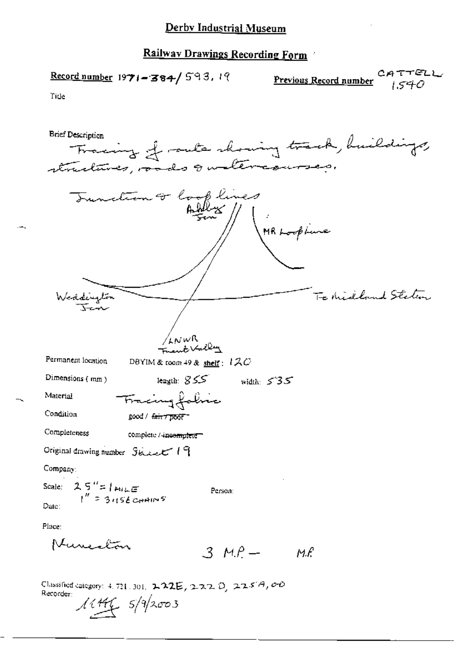$$
\textcolor{blue}{\text{True}}
$$

Classified category: 4.721.301, **222E**, 222 D, 225A, 00<br>Recorder:<br> $\sqrt{\frac{444}{5}}$   $5/\sqrt[9]{2003}$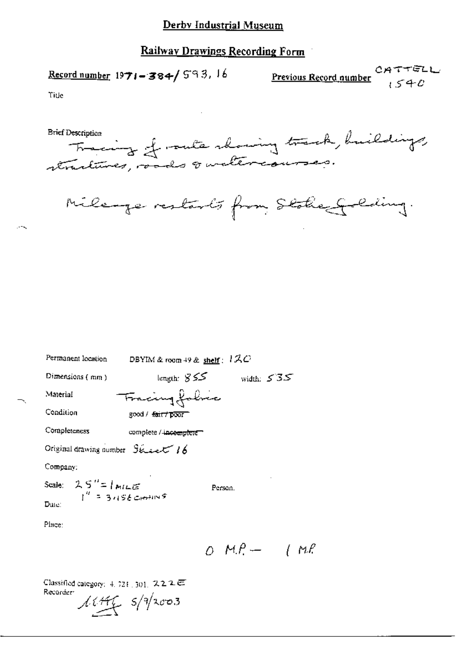Record number  $1971 - 384 / 593$ , 16

**Previous Record number**<br>540

Title

Fracing of rute showing track, huildings, **Brief Description** 



 $OMP - IMP$ 

| Permanent location                                         | DBYIM & room 49 & shelf : $12C$    |              |
|------------------------------------------------------------|------------------------------------|--------------|
| Dimensions $(mn)$                                          | length: $855$                      | width: $535$ |
| Material                                                   | Fracing folice                     |              |
| Condition                                                  | good / <del>faut / poor</del>      |              |
| Completeness                                               | complete / <del>incomplete =</del> |              |
| Original drawing number $S_{\&\leftrightarrow\&\ \prime\&$ |                                    |              |
| Company:                                                   |                                    |              |
| Scale: $25'' = 1$ MILE<br>$1'' = 3.156$ CHAINS             | Person.                            |              |
| Date:                                                      |                                    |              |
| Place:                                                     |                                    |              |
|                                                            |                                    |              |

Classified category:  $4, 721, 301, 2, 2, 2, \overline{6}$ Recorder  $11.446$   $5/9$ /2003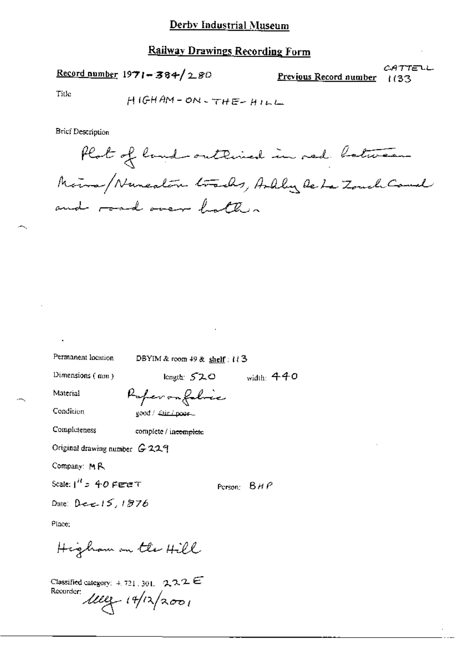#### Railway Drawings Recording Form

 $\frac{\text{Record number}}{1971 - 384}$  280

CATTELL Previous Record number  $1(33)$ 

Title

$$
H1GHAM=ON-THE-HILL
$$

**Brief Description** 

Plat of land outlined in red between Moins/Nuneation tracks, Ardly Rebe Zouch Cauch and road over batters

Permanent location

DBYIM & room  $49$  & shelf:  $1/3$ 

Dimensions  $($  mm $)$ 

length: 520 width:  $440$ 

Material

Paperonfolice good / Tair / poor ...

Condition Completeness

complete / incomplete

Original drawing number G 229

Company: MR

Scale:  $1^{H}$  > 40 Fere T

Person:  $BHP$ 

Date: Dee  $15.1876$ 

Place:

Higham on the Hill

Classified category:  $4, 721, 301, 222 \in$ Recorder:  $\mu$ eg 14/12/2001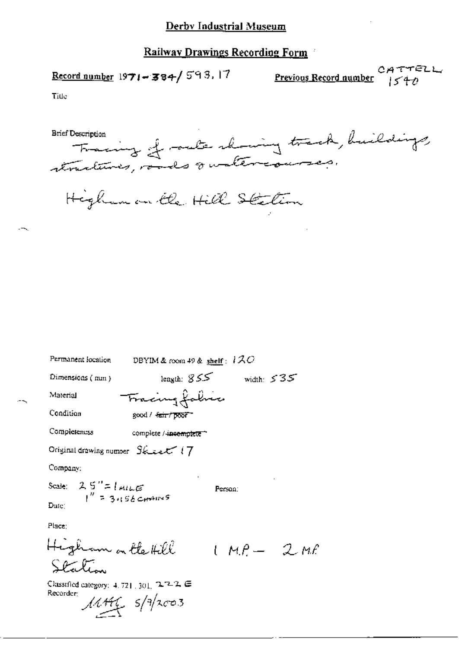$\frac{Recent number}{1971}$ =384/593.17

CATTELL<br>Previous Record number 1540

Title

Tracing of outs showing track, buildings, Brief Description

Higham on the Hill Station

Permanent location DBYIM & room 49 & shelf:  $120$ length:  $855$  width:  $535$ Dimensions (mm) Fracing faluce Material Condition good / tair/poor Completeness complete / incomplete Original drawing number  $S$ k is  $\mathcal{F}$  (7 Company: Scale:  $2.5'' = 1$  All LE<br> $1'' = 3.156$  CHAINS Person: Date: Place: Higham on the Hill  $1 \mu \rho = 2 \mu \rho$ Station

Classified category: 4, 721, 301, 2222 G Recorder:  $\frac{1}{4\pi\epsilon}$  s/a/2003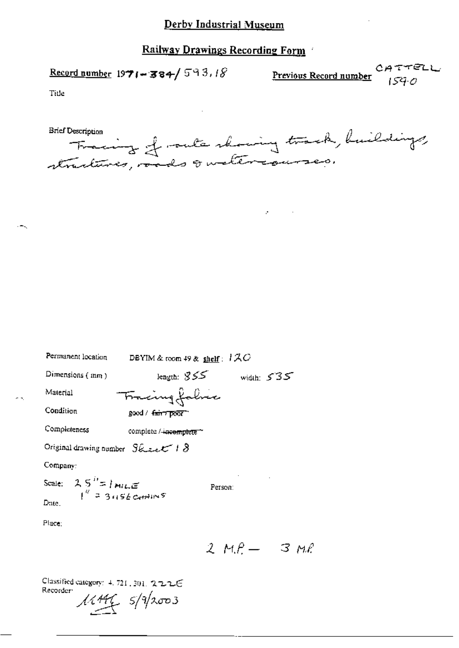Record number  $1971 - 384 / 593.18$ 

**Previous Record number**  $\begin{array}{c} CA \ \tau \ \tau \ \in \mathbb{C} \cup \ \text{Per}(A) \ \text{Per}(B) \ \text{Per}(C) \end{array}$ 

Title

- 5.

- uniquon fraction of the main that he buildings **Brief Description** 

 $\sigma_{\rm{max}}$ 

| Permanent location                                                      | DBYIM & room $49$ & shelf: $170$     |                    |
|-------------------------------------------------------------------------|--------------------------------------|--------------------|
| Dimensions (mm)                                                         | length: $355$                        | width: $535$       |
| Material                                                                | Frieingfahre                         |                    |
| Condition                                                               | good / <del>amin poor</del>          |                    |
| Completeness                                                            | complete / <del>-incomplete</del> ** |                    |
| Original drawing number $S\&$ = et $\mathcal C$ / $\mathcal S$          |                                      |                    |
| Company:                                                                |                                      |                    |
| Scale: $2.5$ <sup>11</sup> = 1 mill <sub>i</sub> $\leq$ 1945 Equation 5 | Person:                              |                    |
| Dute.                                                                   |                                      |                    |
| Place:                                                                  |                                      |                    |
|                                                                         |                                      |                    |
|                                                                         |                                      | 2 м.Р. —<br>3 M.P. |

Classified category: 4, 721, 301, 222E Recorder:  $11.446$   $5/9/2003$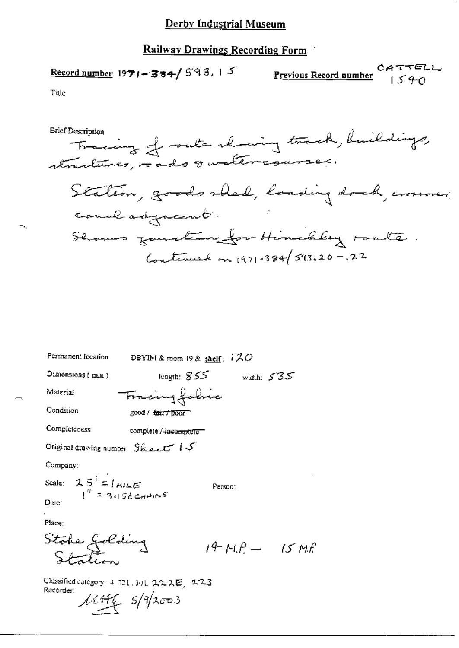### Railway Drawings Recording Form

CATTELL<br>Previous Record number 1540 Record number 1971-384/593, 15  $\overline{a}$ 

Permanent location DBYIM & room 49 & shelf:  $1 \text{ }\mathcal{A}\text{ }O$ Dimensions (mm) length:  $855$  width:  $535$ Fracing folice Material Condition good / fair / poor Completeness complete / incomplete Original drawing number Sheet 15 Company:  $25^{h}$ = 1 MILE Scale: Person: Date: Place: Stoke Jolding<br>Station  $14 M.P - 15 Mf$ 

Classified category: 4-721.301.2なスピ、223 Recorder:  $11446$   $5/9/2003$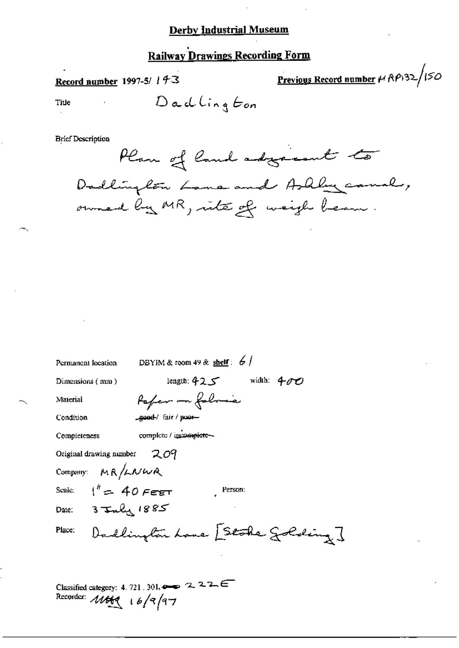## **Railway Drawings Recording Form**

Record number 1997-5/ 143

Previous Record number  $\mu$  RP132/150

Title

Dadlington

**Brief Description** 



| DBYIM & room 49 & shelf: $6/$<br>Permanent location |
|-----------------------------------------------------|
| width: $400$<br>ك 42.5° lenguh:<br>Dimensions (mm)  |
| Pafer on folmes<br>Material                         |
| good/ fair/poor<br>Condition                        |
| complete / incomplete --<br>Completeness            |
| Original drawing number $209$                       |
| Company: MR/LNWR                                    |
| Scale: $1^{h} = 40$ Febr<br>Person:                 |
| Date: 3 July 1885                                   |
| Dadlington Lone [Stoke Golding]<br>Place:           |
|                                                     |
|                                                     |

Classified category: 4, 721, 301,  $\leftrightarrow$  2, 2, 2,  $\leftarrow$ Recorder:  $16/9/97$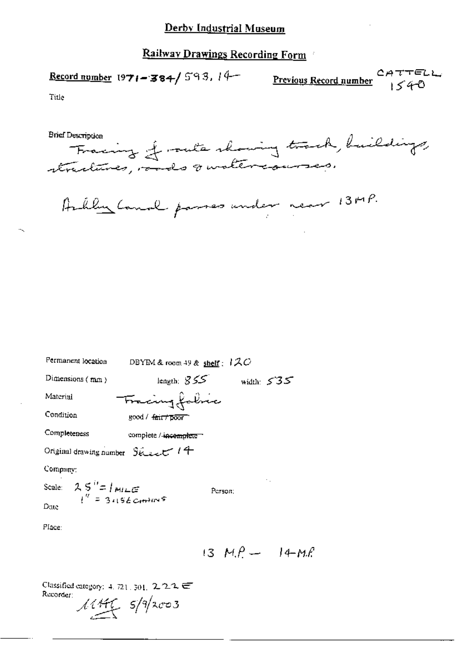### Railway Drawings Recording Form

Previous Record number<br>1540 Record number 1971-384/593, 14-

Title

**Brief Description** 



Archley Canal passes under near 13MP.

| Permanent location                                           | DBYIM & room 49 & shelf : $120$ |               |
|--------------------------------------------------------------|---------------------------------|---------------|
| Dimensions $(mn)$                                            | length: $855$                   | width: $535$  |
| Material                                                     | Tracing fabric                  |               |
| Condition                                                    | good / <del>fair/poor</del>     |               |
| Completeness                                                 | complete /-incemplete =         |               |
| Original drawing number $96$                                 |                                 |               |
| Company:                                                     |                                 |               |
| Scale: $2.5'' = 1 m = 1 m = 10 m$<br>$1'' = 3.156 cm = 10 m$ |                                 | ٠.<br>Person: |
| Date                                                         |                                 |               |
| Place:                                                       |                                 |               |

13  $M.P - 14-M.P$ 

Classified category: 4, 721, 301, 2.2.2 U Recorder:  $11446$   $5/9$ /2003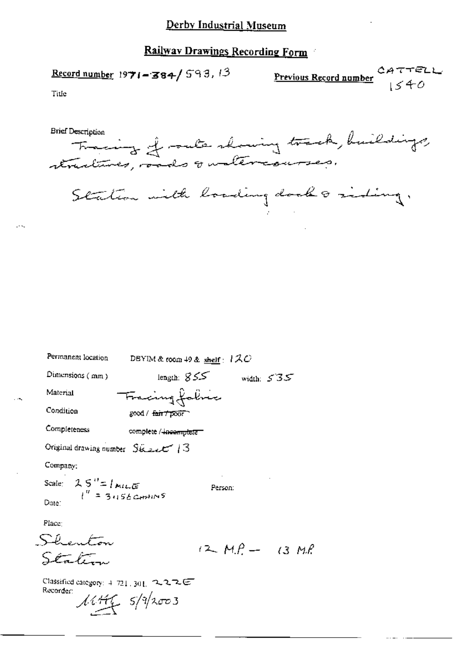Record number 1971-384/593, 13 <u>Previ</u>

$$
\frac{\text{ious Record number}}{1540}
$$

Title

 $\mathbf{A}$ 

| Permanent location                                         | DBYIM & room 49 & shelf : $1 \mathcal{Z} \mathcal{O}$ |                     |  |
|------------------------------------------------------------|-------------------------------------------------------|---------------------|--|
| Dimensions $(mm)$                                          | length: $855$                                         | width $535$         |  |
| Material                                                   | Fracing fabric                                        |                     |  |
| Condition                                                  | good / fair / poor                                    |                     |  |
| Completeness                                               | complete / incomplete =                               |                     |  |
| Original drawing number Steel 13                           |                                                       |                     |  |
| Company:                                                   |                                                       |                     |  |
| Scale: $2.5'' = 1$ MLE<br>$t'' = 3.156$ CHAINS<br>Date:    |                                                       | Person:             |  |
| Place:                                                     |                                                       |                     |  |
| Skenton                                                    |                                                       |                     |  |
| Sén fr                                                     |                                                       | $(2-M)^2 - (3 M)^2$ |  |
| Classified category: $4.721$ , $301$ , $2.22$<br>Recorder: | $14415$ $5/9/2003$                                    |                     |  |

حسيس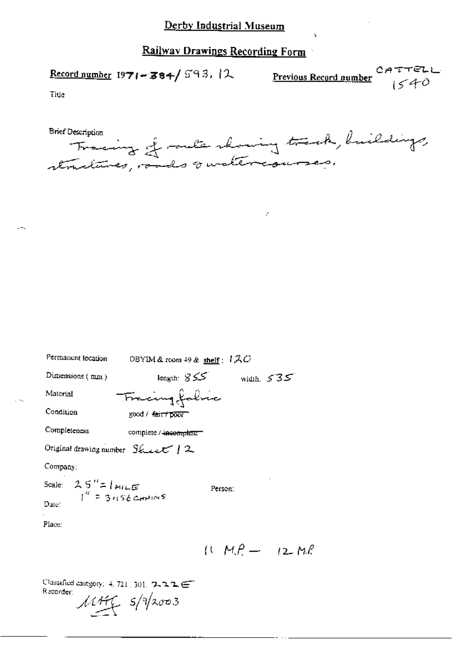Record number 1971-384/593.12

Previous Record number<br> $1540$ 

Title

Tracing of outs showing track, huildings, **Brief Description** 

k,

| Permanent location                              | DBYIM & room 49 & shelf: $1 \lambda C$ |                      |
|-------------------------------------------------|----------------------------------------|----------------------|
| Dimensions (mm)                                 | كككت :Iength: <i>ا</i>                 | width, $535$         |
| Material                                        | Tracing fabric                         |                      |
| Condition                                       | good / <del>fair/poor</del>            |                      |
| Completeness                                    | complete / incomplete =                |                      |
| Original drawing number $S_{\text{stack}}$ / 2  |                                        |                      |
| Company:                                        |                                        |                      |
| Scale: $2.5'' = 1$ MILE<br>$I'' = 3.156$ CHAINS | Person:                                |                      |
| Date:                                           |                                        |                      |
| Place:                                          |                                        |                      |
|                                                 |                                        | $(1 - M.P - 12 M.P)$ |
|                                                 |                                        |                      |

Classified category: 4, 721, 301, 7, 7, 7, 2 Recorder:  $\mathcal{M}$   $\mathcal{H}$   $\mathcal{S}/\sqrt{2}$ 003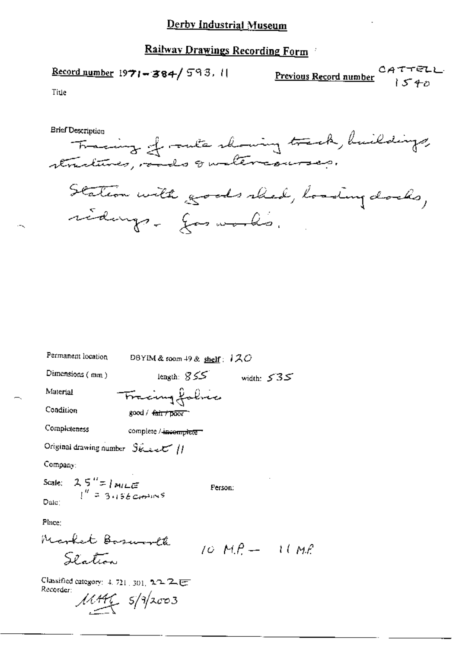$$
\underline{\text{Record number}} 1971 - 384 / 593.11
$$

$$
\underbrace{\text{Previous Record number}}_{\text{Number}} \underbrace{CATTEL}
$$

Title

Permanent location DBYIM & room 49 & shelf:  $120$ length:  $855$  width:  $535$ Dimensions (mm) Fracing falses Material Condition good / fair / poor Completeness complete / incomplete Original drawing number Steel 11 Company: Scale:  $2.5'' = 1 m/LE$ <br> $I'' = 3.156 cm^{3/15}$ Person: Date: Place: Market Basuroll  $10 M.P. - 10 M.P.$ Slation

Classified category: 4, 721, 301, 2/2 乙 UT Recorder:  $\frac{\mu}{\mu}$  s/a/2003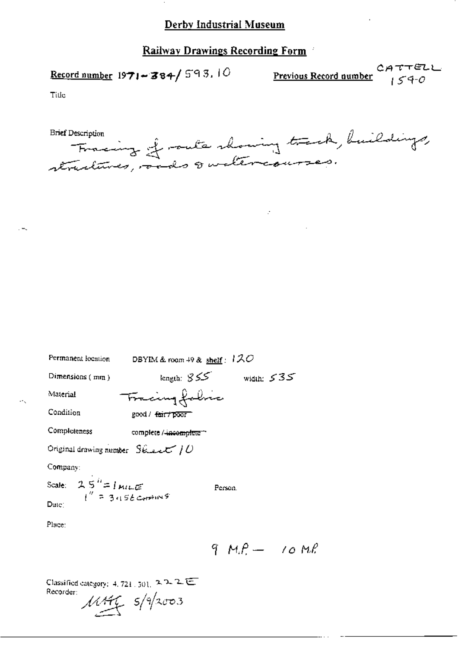### Railway Drawings Recording Form

Record number  $1971 - 384 / 593.10$ 

CATTELL<br>Previous Record number  $154-0$ 

**Tille** 

Fracing of rate showing track, buildings,

Ż,

| Permanent location                                                                | DBYIM & room $49$ & $\frac{\text{sheff}}{2}$ : $120$ |              |
|-----------------------------------------------------------------------------------|------------------------------------------------------|--------------|
| Dimensions $(mn)$                                                                 | ككك :length                                          | width: $535$ |
| Material                                                                          | Fracing folice                                       |              |
| Condition                                                                         | good / <del>fair/poor</del>                          |              |
| Completeness                                                                      | complete / <del>incomplete *</del>                   |              |
| Original drawing number $S_{\text{H.4-4}}$ ( ) $U$                                |                                                      |              |
| Company:                                                                          |                                                      |              |
| Scale: $25^{\frac{1}{2}} = 1 \text{ m}$<br>$1^{\frac{1}{2}} = 3.156 \text{ cm}^2$ | Person.                                              |              |
| Dute:                                                                             |                                                      |              |
| Place:                                                                            |                                                      |              |

 $9 M.P - 10 M.P$ 

Classified category: 4, 721, 501,  $2.2.2 \equiv$ Recorder:  $\frac{1}{4\pi\epsilon}$  s/9/2003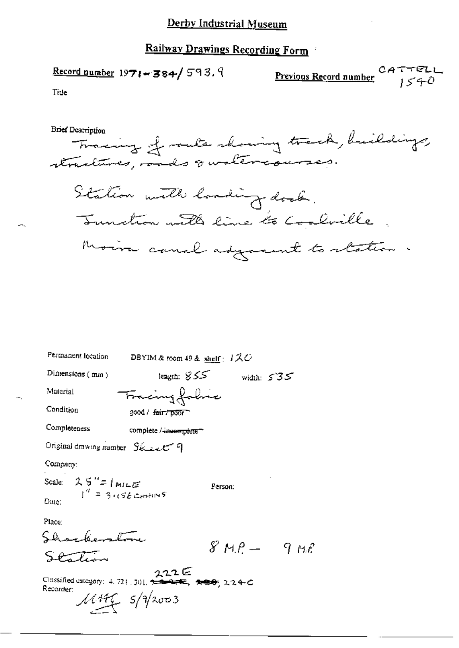$$
\underline{\text{Record number}} 1971 - 384 / 593.9
$$

$$
\underbrace{\text{Previous Record number}}_{j \leq 40}
$$

Tide

**Brief Description** 

Tracing of rate showing track, buildings, Sitation with loading dock. Tunction with line to Coolville Moira canal adjocent to station.

| Permanent location                                                  | DBYIM & room 49 & $\frac{\text{shelf}}{\text{shelf}}}$ ; $\frac{1}{2}$ |         |            |                 |
|---------------------------------------------------------------------|------------------------------------------------------------------------|---------|------------|-----------------|
| Dimensions (mm)                                                     | length: 855                                                            |         | width: 535 |                 |
| Material                                                            | Fracing folice                                                         |         |            |                 |
| Condition                                                           | good / <del>fair/ poor</del>                                           |         |            |                 |
| Completeness                                                        | complete / inseraptere ~                                               |         |            |                 |
| Original drawing number $S_{\mathcal{L}=L}$ $\subset$ $Q$           |                                                                        |         |            |                 |
| Company:                                                            |                                                                        |         |            |                 |
| Scale: $2.5'' = 1$ MILE<br>$I'' = 3.156$ CHAINS<br>Dute:            |                                                                        | Person: |            |                 |
| Place:<br>Shockerstone<br>$-77$                                     |                                                                        |         |            | $8 M.P - 9 M.P$ |
| $222 \in$<br>Classified category: 4.721.301. $222 \in$<br>Recorder: | $M H = 5/9/2003$                                                       |         |            |                 |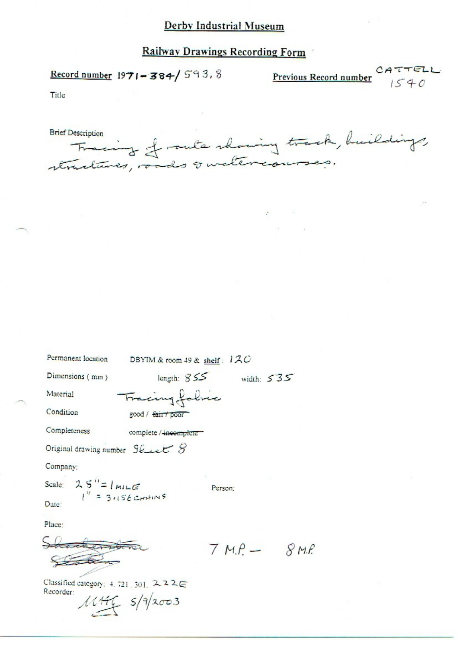## **Railway Drawings Recording Form**

Record number  $1971 - 384 / 593.8$ 

 $CATTELL$ <br> $1540$ Previous Record number

Title

| <b>Brief Description</b>                  |  |
|-------------------------------------------|--|
| Tracing of outs showing track, buildings, |  |
|                                           |  |

ý.

| Permanent location                   | DBYIM & room 49 & shelf: $120$ |                 |  |
|--------------------------------------|--------------------------------|-----------------|--|
| Dimensions (mm)                      | length: $855$                  | width: $535$    |  |
| Material                             | Fracing fabric                 |                 |  |
| Condition                            | good / fair / poor             |                 |  |
| Completeness                         | complete / incomplete          |                 |  |
| Original drawing number $Skew & S$   |                                |                 |  |
| Company:                             |                                |                 |  |
| Scale: $25'' = l_{MILE}$             |                                | Person:         |  |
| $1'' = 3.156$ CHAINS<br>Date:        |                                |                 |  |
| Place:                               |                                |                 |  |
| Shackenboro                          |                                | $7 M.P - 8 M.P$ |  |
|                                      |                                |                 |  |
| Classified category: 4.721.301. スス2日 |                                |                 |  |
| Recorder:                            |                                |                 |  |
|                                      | 114465/9/2003                  |                 |  |
|                                      |                                |                 |  |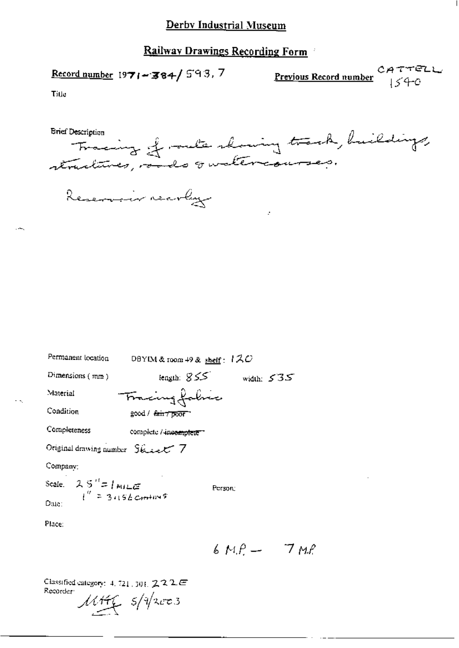Record number 1971-384/593.7

**Previous Record number**  $1540$ 

Title

Tracing of outs showing track, huildings, **Brief Description** 

|  | -- - - - - - - |
|--|----------------|
|  |                |
|  |                |

Reservoir rearly

| Permanent location                              | DBYIM & room 49 & shelf: $120$ |              |
|-------------------------------------------------|--------------------------------|--------------|
| Dimensions (mm)                                 | - ككك :tength                  | width: $535$ |
| Material                                        | Tracing folice                 |              |
| Condition                                       | good / fair 7 poor             |              |
| Completeness                                    | complete / incomplete "        |              |
| Original drawing number State V                 |                                |              |
| Company:                                        |                                |              |
| Scale: $2.5'' = 1 m / 2$<br>$1'' = 3.156 cm/m5$ | Person:                        |              |
|                                                 |                                |              |
| Place:                                          |                                |              |

 $6MP - 7MP$ 

Classified category:  $4, 721, 301, 2, 2, 2, \mathbb{Z}$ Recorder: Mittle 5/1/2003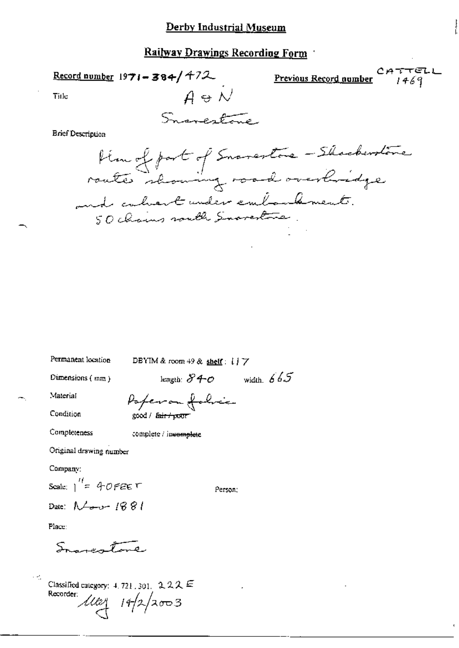Record number 1971-384/472

 $CATTELL$ <br> $1469$ Previous Record number

Title

Snarestone.

 $A \oplus \mathcal{N}$ 

**Brief Description** 

Permanent location

Hem of part of Snavestone - Shockerstone and calvert under embordement. 50 chains south Snovestone.

DBYIM & room  $49$  & shelf:  $17$ length:  $840$  width:  $665$ Dimensions  $(mm)$ Material Paperon folice Condition good / fair / pour Completeness complete / incomplete Original drawing number Company: Scale:  $1 = 40$  FEE T Person; Date: Now 1881

Place:

Samertone

Classified category:  $4.721$ , 301, 222 E Recorder:  $14/2/2003$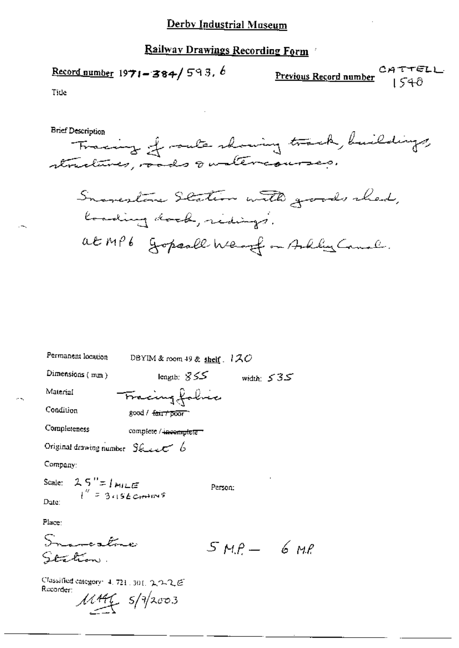$$
\underline{\text{Record number}} 1971 - 384 / 593. b
$$

Tide



| Permanent location                                                     | DBYIM & room 49 & shelf $.120$ |              |  |
|------------------------------------------------------------------------|--------------------------------|--------------|--|
| Dimensions (mm)                                                        | length: $355$                  | width: $535$ |  |
| Material                                                               | Fracing fabric                 |              |  |
| Condition                                                              | good / <del>fair/ poor</del>   |              |  |
| Completeness                                                           | complete / incomplete =        |              |  |
| Original drawing number Skeet 6                                        |                                |              |  |
| Company:                                                               |                                |              |  |
| Scale: $25'' = 1$ MILE<br>$t'' = 3.156$ Cm <sup>2</sup> m <sup>2</sup> | Person:                        |              |  |
| Date:                                                                  |                                |              |  |
| Place:                                                                 |                                |              |  |
|                                                                        |                                |              |  |
|                                                                        |                                | $SMA - 6MR$  |  |

Classified category: 4, 721, 301, 222E Recorder:

Station.

 $11446$   $5/12003$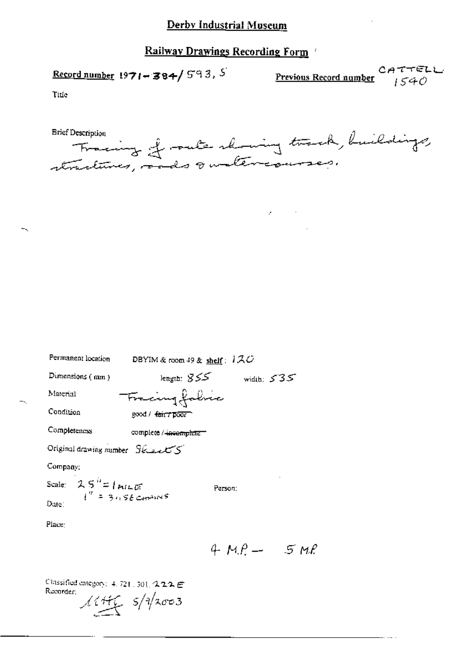Record number 1971-384/593, 5

CATTELL<br>Previous Record number  ${}_{1540}$ 

Tide

Tracing of racte showing track, buildings, **Brief Description** 

 $\mathcal{A}^{\mathcal{A}}$  and  $\mathcal{A}^{\mathcal{A}}$  and  $\mathcal{A}^{\mathcal{A}}$ 

| Permanent location                                              | DBYIM & room $49$ & shelf:         | 120          |  |
|-----------------------------------------------------------------|------------------------------------|--------------|--|
| Dimensions (mm)                                                 | lengin: 855                        | width: $535$ |  |
| Material                                                        | Fracing folice                     |              |  |
| Condition                                                       | good / <del>fair / poor</del>      |              |  |
| Completeness                                                    | complete / <del>incomplete =</del> |              |  |
| Original drawing number Security                                |                                    |              |  |
| Company:                                                        |                                    |              |  |
| Scale: $25^{h}$ = $1$ m/LE<br>$1'' = 3.156$ cm <sup>3</sup> ins | Person:                            |              |  |
| Date:                                                           |                                    |              |  |
| Place:                                                          |                                    |              |  |

 $4 M.P - 5 M.P$ 

Classified category: 4, 721, 301, 222 E Recorder;  $11446$   $5/12003$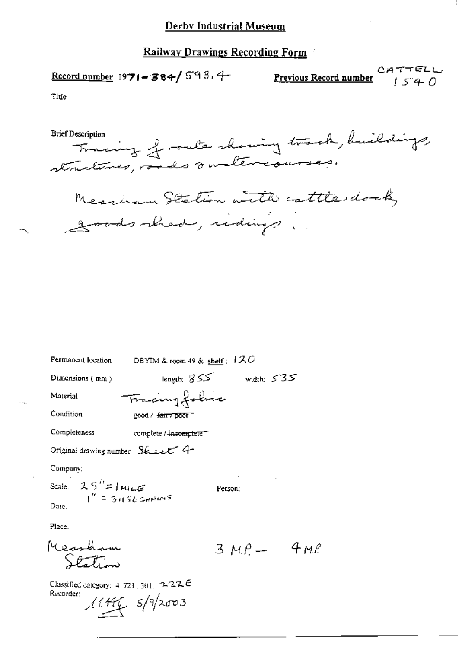CATTELL<br>Previous Record number  $\begin{array}{c} C \rightarrow T \rightarrow C \rightarrow C \rightarrow C \rightarrow C \end{array}$ 

Title

Measurem Station with cattle dock, goods hed, ridings.

| Permanent location                | DBYIM & room 49 & shelf: $120$     |                  |     |
|-----------------------------------|------------------------------------|------------------|-----|
| Dimensions (mm)                   | length: $855$                      | width: $535$     |     |
| Material                          | Tracing folice                     |                  |     |
| Condition                         | good / <del>fair / poor "</del>    |                  |     |
| Completeness                      | complete / <del>incomplete =</del> |                  |     |
| Original drawing number Skeept 4- |                                    |                  |     |
| Company;                          |                                    |                  |     |
| Scale: $25'' = 1$ PHILE           |                                    | Person:          |     |
| Date:                             |                                    |                  |     |
| Place.                            |                                    |                  |     |
| Mearham                           |                                    | $3 \mu \rho$ $-$ | 4Me |
|                                   |                                    |                  |     |
|                                   |                                    |                  |     |

Classified category:  $4.721 \pm 301$ ,  $7.222$   $\bar{c}$ Recorder:  $11466$   $5/9$ /2003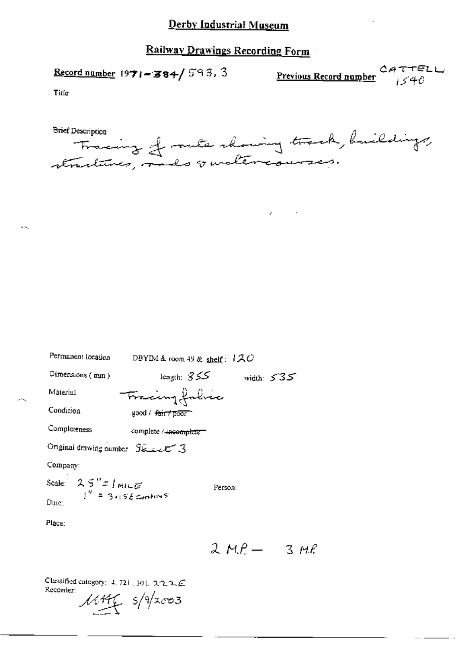## Railway Drawings Recording Form

Record number  $1971 - 384 / 593.3$ 

**Previous Record number**  $\alpha$ ATTELL

Title

ж,

| <b>Brief Description</b> |                                           |  |
|--------------------------|-------------------------------------------|--|
|                          | Fracing of rate showing track, buildings, |  |
|                          |                                           |  |
|                          | structures, and quatercourses.            |  |

 $\mathcal{L}^{\pm}$ 

| Permanent location                                                              | DBYIM & room 49 & shelf: $120$ |              |
|---------------------------------------------------------------------------------|--------------------------------|--------------|
| Dimensions (mm)                                                                 | ككك :length                    | width: $535$ |
| Material                                                                        | Fracingfabric                  |              |
| Condition                                                                       | good / <del>fairt poor</del>   |              |
| Completeness                                                                    | complete / incomplete          |              |
| Original drawing number Steel 3                                                 |                                |              |
| Company:                                                                        |                                |              |
| Scale: $2.5'' = 1 m + \epsilon$<br>$I'' = 3.156$ cm <sup>2</sup> m <sup>2</sup> | Person:                        |              |
| Date:                                                                           |                                |              |
| Place:                                                                          |                                |              |

Classified category: 4, 721, 301, 222.C Recorder:

 $MHf$  s/9/2003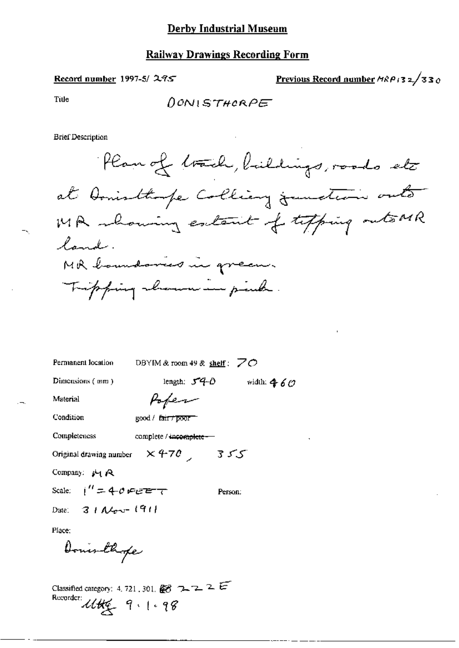#### Record number 1997-5/295

<u>Previous Record number</u>  $MRP_132/330$ 

Tide

DONISTHORPE

**Brief Description** 

| Permanent location       | DBYIM & room 49 & shelf: $ZO$ |              |
|--------------------------|-------------------------------|--------------|
| Dimensions (mm)          | length: $54-0$                | width: $460$ |
| Material                 | Popen                         |              |
| Condition                | good / fair / poor            |              |
| Completeness             | complete / incomplete --      |              |
| Original drawing number  | $\times$ 470 $\overline{C}$   | 355          |
| Company: $\mu_1 \approx$ |                               |              |

Scale:  $i'' = 40$  PEET Person:

Date:  $3 + A/200 - (91)$ 

Place:

Donis those

Classified category: 4, 721, 301,  $\mathbb{Z}3$  7, 7, 2  $\mathbb{Z}$ Recorder Utte 9.1.98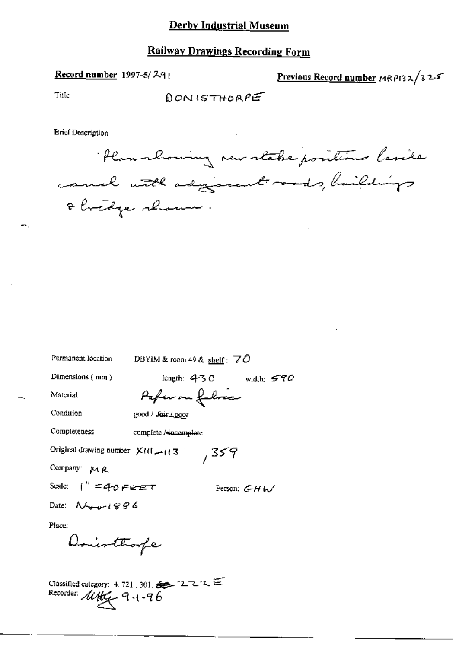#### **Railway Drawings Recording Form**

#### Record number 1997-5/291

Previous Record number MRP132/325

Title

 $RONISTHORPE$ 

**Brief Description** 

Plan-chosing new stake positions lavide canal with adjourned roads, haildings & bridge shown.

Permanent location DBYIM & room 49 & shelf :  $70$ length:  $430$  width:  $570$ Dimensions  $(mn)$ Pafer on fulres Material Condition good / fair / poor Completeness complete / incomplete Original drawing number  $X(t) = (t3^{\circ})$  359 Company: MR Scale:  $1'' = 40$  FEET Person:  $G-HW$ Date:  $N_{\text{max}}$ 1896 Place: Donothorpe

Classified category: 4, 721, 301,  $\leq 2$  2 2 2  $\leq$ Recorder like 9.1-96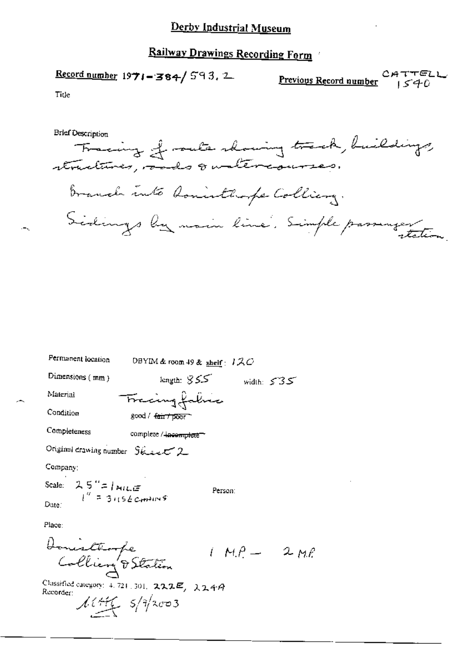# Railway Drawings Recording Form

Record number 1971-384/593. 2 CATTELL

Tide

÷,

**Brief Description** 

| Permanent location                                                  | DBYIM & room 49 & $_{\text{sheif}}$ : 120 |              |  |
|---------------------------------------------------------------------|-------------------------------------------|--------------|--|
| Dimensions (mm)                                                     | length: $855$                             | width: $535$ |  |
| Material                                                            | Frecing falses                            |              |  |
| Condition                                                           | good / <del>fairt poor</del>              |              |  |
| Completeness                                                        | complete / incomplete                     |              |  |
| Original drawing number Skiect 2                                    |                                           |              |  |
| Company:                                                            |                                           |              |  |
| Scale: $2.5^{\circ}$ =   MILE<br>$l'' = 3.156$ cm <sup>2</sup> IIVS |                                           | Person:      |  |
| Date:                                                               |                                           |              |  |
| Place:                                                              |                                           |              |  |
|                                                                     |                                           |              |  |
| Donieltempe<br>Colliery DStation                                    |                                           | $IMP = 2ML$  |  |
| Classified category: 4, 721, 301, $222E, 224A$<br>Recorder:         |                                           |              |  |

 $\overline{a}$ 

corder:  $\frac{1}{4\pi\epsilon}$   $\frac{5}{4}$   $\frac{2003}{4003}$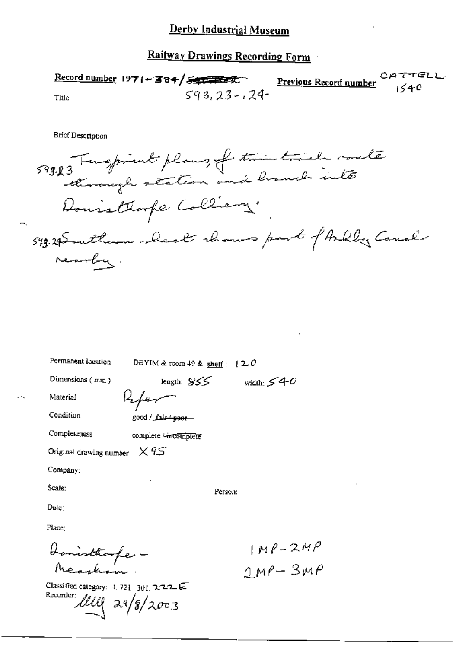## **Railway Drawings Recording Form**

Record number 1971 - 384/540 1287 **Previous Record number**  $593.23 - 24$ Title

**Brief Description** 

598.R3 Twepink plans, of twin trails mate Donisthope Colliery. 599.29 Southern sheat shows part of Askly Cause rearby.

| Permanent location                                                                               | DBYIM & room $49$ & shelf: $120$   |                        |
|--------------------------------------------------------------------------------------------------|------------------------------------|------------------------|
| Dimensions (mm)                                                                                  | length: $S5$                       | width: $540$           |
| Material                                                                                         | Koher                              |                        |
| Condition                                                                                        | . <del>__good / _fair / posr</del> |                        |
| Completeness                                                                                     | complete /-mcomplete               |                        |
| Original drawing number $\times$ $45^\circ$                                                      |                                    |                        |
| Company:                                                                                         |                                    |                        |
| Scale:                                                                                           | Person:                            |                        |
| Dute:                                                                                            |                                    |                        |
| Place:                                                                                           |                                    |                        |
|                                                                                                  |                                    |                        |
| Honisthoofe<br>Neasham:                                                                          |                                    | $1MP-2MP$<br>$2MP-3MP$ |
| Classified category: $4.721$ , $301$ , $2.22$ E<br>Recorder: $\ell \ell \ell \ell \sqrt{3}/2003$ |                                    |                        |